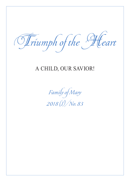Triumph of the Heart

## A CHILD, OUR SAVIOR!

Family of Mary 2018 (I)/No. 83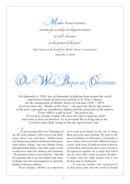"<br>/other Teresa's mission ... remains for us today an eloquent witness to God 's closeness to the poorest of the poor." Pope Francis in the homily for Mother Teresa's Canonization September 4, 2016

Our Work Began at Christmas

*On September 4, 2016, tens of thousands of pilgrims from around the world and thirteen heads of state were present in St. Peter's Square for the canonization of Mother Teresa of Calcutta (1910 – 1997). Everyone knew the "Mother of the Poor", who gave her life for the poorest of the poor, especially for abandoned children and the protection of the unborn. "Every child is a gift of God," she used to say. "If you hear of some woman who does not want to keep her child and wants to have an abortion, try to persuade her to bring him to me. I will love that child, seeing in him the sign of God's love."*

" I *spent practically every Christmas of my life with orphans. I felt close to the Baby Jesus when I was with them,"* Mother Teresa of Calcutta once told the well-known Italian journalist Renzo Allegri, who met Mother Teresa through Bishop Hnilica. She often spoke to him in interviews about her children and Christmas, *"the greatest cosmic event in history."* She told the journalist that it was her mother back home in Skopje who first encouraged her to spend the holidays with poor children.

*"Every Sunday, Mother accompanied* 

*us to some poor family in the city, to bring them groceries and clothing. We went to the poorest families on Christmas. I remember a poor widow with seven little children living in a dirty, dark room. It broke my heart when we visited them and found these poor creatures all squeezed together on a single bed which was no more than a pile of greasy blankets. A single room for eight people with a tiny kitchen and no bathroom!* 

*"It was our mother who explained to us that Jesus came into the world in dismal*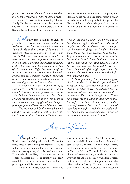*poverty too, in a stable which was worse than this room. I cried when I heard these words."*

Mother Teresa came from a wealthy Albanian family. Her father was a respected businessman, and the family lived in a comfortable villa in Skopje. Nevertheless, at the wish of her parents

*M* other Teresa taught for eighteen years, but then, as she said, *"I received a call within the call. Jesus let me understand that I should take in the poorest of the poor. … I wanted to start my new mission on Christmas Day in 1948. Yes, I consciously chose Christmas because this feast represents the essence of our Faith. Christmas symbolizes suffering and, at the same time, the triumph of the Son of God made man. Suffering because of the birth into poverty and coming into the world of exile and trial; triumph, because Jesus, who became man, redeemed mankind, conquered death and gave us the Resurrection.*

*"After the Holy Mass on the morning of December 21, 1948, I went to the only slum I knew in Motijhil, a poor quarter close to the school where I had taught for years. I had been sending my students to this slum for years at Christmas time, to bring gifts which I had prepared for poor children whom I did not know.*

*"The moment had finally arrived when I could go to the children myself to celebrate Christmas, in 'direct' contact with Jesus who*  the girl deepened her contact to the poor, and ultimately, she became a religious sister in order to dedicate herself completely to the poor. The Sisters of Loreto, whom she joined, worked in mission countries, but their aim was primarily education.

*lives in the poor. I spent the whole day in Motijhil, making friends with the mothers and playing with their children. I was so happy, that I completely forgot that I had no place to spend the night. In the evening, I started looking for a place to stay. For me, it was a little bit like Our Lady in labor finding no room in the inn, and finally having to choose a stable for bringing Jesus into the world. In my case, it was the middle of the night before I found a woman who would rent me a poor shack for five Rupees a month.* 

*"The very next day, I started teaching five children in the shack. My first five children! In my building, there was neither a table nor chairs, and I didn't have a blackboard. I wrote the letters of the alphabet on the bare floor with a stick. That is how I taught class! Three days later, the five children had turned into twenty-five, and before the end of the year, there were forty-one. Later on, I set up a school there large enough to teach five hundred children. Since then, I celebrate the anniversary of my work every year on Christmas."*



Bishop Paul Maria Hnilica from Slovakia lived a close friendship with Mother Teresa for thirty-three years. During his repeated visits to India, the bishop supported her and her sisters in their missionary work, often for weeks at a time. This made him realize, "Christmas was at the center of Mother Teresa's spirituality. This feast meant the most to her because her work for the poor began at Christmas in 1948.

"She saw the weak, defenseless child who

was born in the stable in Bethlehem in everyone… especially in the abandoned children. I spent several Christmases with Mother Teresa, but I remember one in particular: I was in India, in Calcutta. Mother Teresa had invited me for dinner on December 24th, to celebrate Christmas Eve with her and her sisters. It was a frugal meal, quite meager really, as is the practice with the Missionaries of Charity. Yet it was a dinner rich with affection, joy and fellowship. The atmosphere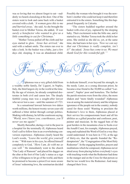was so loving that we almost forgot to eat—suddenly we heard a knocking at the door. One of the sisters went to look and came back with a basket covered with a cloth. *'A woman gave this to me and hurried away,'* she said. As she brought the basket over to Mother Teresa, she added, *'It was surely a benefactor who wanted to give us a little something to eat for Christmas.'* 

*"*Mother Teresa pulled off the cloth and her eyes started to glow. *'Jesus has arrived,'* she said with a radiant smile. The sisters ran over to take a look. In the basket was a baby, just a few days old, sleeping. It was an abandoned child.

Possibly the woman who brought it was the newborn's mother who could not keep it and therefore entrusted it to the sisters. Something like this happened frequently in Calcutta.

"The sisters huddled together around the basket with cries of joy, raptured by the sleeping baby. Their excitement woke the little one, and it started to cry. Mother Teresa took the child in her arms. She smiled as she did so, yet, at the same time, she had tears in her eyes. *'Now we can say that our Christmas is really complete, isn't it?'* she asked. *'Jesus has come to us. We must thank God for this wonderful gift.'"*

From Starry Skies Thou Comest

 $\mathcal{H}$ lphonsus was a very gifted child from a wealthy noble family, De' Liguori, in Naples, Italy, the third largest city in the world at the time. By the age of sixteen, he already completed doctorates in both civil and canon law. The deeply faithful young man was a sought-after lawyer who never lost a case—until the summer of 1723.

In a sensational lawsuit between two dukes worth millions, the honest twenty-seven-year-old suffered a bitter defeat through corrupt politics. Shaking with dismay, he left the courtroom saying, *"World, now I know you; courthouses, you'll never see me again!"* 

Shortly thereafter, during a visit to the poor in a hospital for the terminally ill, Alphonsus heard God's call to follow him in an overwhelming conversion experience. Alphonsus clearly heard the Lord's words, *"Leave the world, give yourself to me."* With tears in his eyes, he offered himself completely to God, *"Here I am, do with me as you will."* He immediately went to the church "Our Lady of Ransom" and placed his dagger on the altar at the foot of Our Lady's statue as a sign of his willingness to let go of the world, and there he promised to become a priest.Ever more aware of Jesus' redeeming love, the seminarian decided

to dedicate himself, even beyond his strength, to the needy. Later, as a young diocesan priest, he became a true friend to the 30,000 so-called "Lazzaroni", Naples' poor and homeless. The further the parish missions were from the cities, the more shaken and "more fatally wounded" Alphonsus was at seeing the material misery and the religious ignorance of the people out in the country; nobody cared for these souls! Wanting to proclaim the Redeemer's love to them, Alphonsus placed at their service his compassionate heart and all his abilities as a gifted preacher and confessor, poet, painter and musician. In the ragged huts of the goat herders in the mountains close to Scala over the Amalfi Coast, for example, Alphonsus prayed, sang and explained the Word of God in a way they could understand. It was here in 1732, at the age of thirty-six, that the apostle founded the "Redemptorists", the "Congregation of the Most Holy Redeemer". In the engaging homilies, prayers and meditations which he composed, Alphonsus never shied away from placing before everybody's eyes with touching words what the Redeemer had done in the manger and on the Cross for that person so that he too would love the Redeemer. And many changed their lives.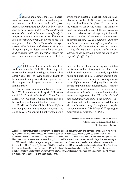pending hours before the Blessed Sacrament, Alphonsus marveled when meditating on just how deep our Lord descended: *"First, you appear among us as a child in a stable, a poor man in the workshop, then as the condemned one on the wood of the Cross and finally in the form of bread upon our altars. Tell me, is there anything else you can devise so that we love you? … When I hear the words, 'manger, Cross, altar,' I burn with desire to do great things for you, my Jesus, you who have done and endured such inconceivable things for me."* Love and redemption—these were the key

 $\mathcal H$ lphonsus had a simple, childlike soul, and when his faith-filled heart began to overflow, he stopped thinking and began—like a true Neapolitan—to rhyme and sing. Thanks to his musical training with Master Cajetan Greco the composition of rhymes and music came to him naturally.

During a parish mission to Nola in December 1755, the apostle wrote the spirited Christmas carol *"Tu Scendi dalle Stelle—From Starry Skies Thou Comest",* which, to this day, is a beloved song in Italy at Christmas time.

Fr. Michael Zambadelli heard about Alphonsus' composition and audaciously asked if he could copy it. Alphonsus did not want to permit words which the stable in Bethlehem spoke to Alphonsus so that he, like St. Francis, was unable to separate himself from this place. Here, he learned the virtues of the Divine Child—the infinitely great one who made himself little and accessible to all. He, who as God belongs only to himself, desired so much to belong to us so that from now on anyone can say, *"Jesus is all mine—his body and blood are mine, his suffering and merits are mine, his life is mine, his death is mine. … Yes, this man was born to suffer for us. Therefore, he accepted a body which is fully capable of suffering."*

him, but he left the score laying on the table in his room and went to pray in the church. Fr. Michael could not resist—he secretly copied the music and stuck it in his cassock pocket. Soon the moment arrived during the evening service when Alphonsus started singing his carol; the people sang with him enthusiastically. Then the missionary paused suddenly, as if he could not really remember the other verses, and told the altar server standing next to him, *"Go to Fr. Michael and ask him for the copy in his pocket."* The priest, red with embarrassment, met Alphonsus afterwards in the rectory. Giving him a wink, the former lawyer said, *"Fr. Michael, I'm going to turn you in for spiritual robbery."*

Translated from: Josef Heinzmann, Unruhe der Liebe: Alfons Maria von Liguori (1696-1787), Kanisius-Verlag Freiburg

Alphonsus' mother taught him to love Mary. He liked to meditate about Our Lady and her motherly role within the mystery of Christmas, and he understood that everything she did for Baby Jesus back then, she continues to do for us. In addition to instilling a deep faith in Alphonsus, his mother also gave him a little statue of Baby Jesus wrapped in cloth. He carried it with him wherever he went. Today, it is in the Redemptorismonastery museum in Pagani, where on August 1, 1787, the saint died at the age of ninety. Alphonsus was one of the most successful parish missionaries and authors in the history of the Church. By the end of his life, he had written 111 works, including the precious book "The Practice of the Love of Jesus Christ" and his famous "Moral Theology". It was with good reason that Bl. Pope Pius IX declared the prophetic pastor a Doctor of the Church with the title "Doctor Zelantissimus", "the most zealous". Pope Pius XII named him the patron of confessors and moral theologians.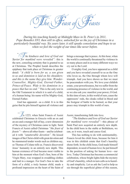The Feast of Feasts

*During his touching homily at Midnight Mass in St. Peter's in 2011, Pope Benedict XVI, then still in office, unlocked for us the joy of Christmas in a particularly beautiful way. Six years later, it still speaks consolation and hope to us when we feel the weight of our times like never before.*

" T*he kindness and love of God our Savior for mankind were revealed":* this is the new, consoling certainty that is granted to us at Christmas. The Prophet Isaiah describes the epiphany that took place at Christmas in greater detail: *"A child is born for us, a son given to us and dominion is laid on his shoulders; and this is the name they give him: Wonder-Counsellor, Mighty-God, Eternal-Father, Prince-of-Peace. Wide is his dominion in a peace that has no end."* This is the only text in the Old Testament in which it is said of a child, of a human being: his name will be Mighty-God, Eternal-Father.

God has appeared—as a child. It is in this guise that he pits himself against all violence and

<sup>1</sup> In 1223, when Saint Francis of Assisi celebrated Christmas in Greccio with an ox and an ass and a manger full of hay, a new dimension of the mystery of Christmas came to light. Saint Francis of Assisi called Christmas *"the feast of feasts"*—above all other feasts—and he celebrated it with *"unutterable devotion".* He kissed images of the Christ-child with great devotion and he stammered tender words such as children say, so Thomas of Celano tells us. Francis discovered Jesus' humanity in an entirely new depth. This human existence of God became most visible to him at the moment when God's Son, born of the Virgin Mary, was wrapped in swaddling clothes and laid in a manger. For God's Son to take the form of a child, a truly human child, made a profound impression on the heart of the Saint of

brings a message that is peace. At this hour, when the world is continually threatened by violence in so many places and in so many different ways we cry out to the Lord:

O mighty God, you have appeared as a child and you have revealed yourself to us as the One who loves us, the One through whom love will triumph. And you have shown us that we must be peacemakers with you. We love your childish estate, your powerlessness, but we suffer from the continuing presence of violence in the world, and so we also ask you: manifest your power, O God. In this time of ours, in this world of ours, cause the oppressors' rods, the cloaks rolled in blood and the footgear of battle to be burned, so that your peace may triumph in this world of ours.

## Assisi, transforming faith into love.

*"The kindness and love of God our Savior for mankind were revealed"—*this phrase of Saint Paul now acquired an entirely new depth. In the child born in the stable at Bethlehem, we can, as it were, touch and caress God.

This has nothing to do with sentimentality. Francis loved the child Jesus, because for him it was in this childish estate that God's humility shone forth. In the child Jesus, God made himself dependent, in need of human love; he put himself in the position of asking for human love—our love. Today Christmas has become a commercial celebration, whose bright lights hide the mystery of God's humility, which in turn calls us to humility and simplicity. Let us ask the Lord to help us see through the superficial glitter of this season,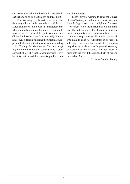and to discover behind it the child in the stable in Bethlehem, so as to find true joy and true light.

Francis arranged for Mass to be celebrated on the manger that stood between the ox and the ass. Later, an altar was built over this manger, so that where animals had once fed on hay, men could now receive the flesh of the spotless lamb Jesus Christ, for the salvation of soul and body. Francis himself, as a deacon, had sung the Christmas Gospel on the holy night in Greccio with resounding voice. Through the friars' radiant Christmas singing, the whole celebration seemed to be a great outburst of joy. It was the encounter with God's humility that caused this joy—his goodness creates the true feast.

Today, anyone wishing to enter the Church of Jesus' Nativity in Bethlehem … must dismount from the high horse of our "enlightened" reason. … We must follow the interior path of Saint Francis—the path leading to that ultimate outward and inward simplicity which enables the heart to see. … Let us also pray especially at this hour for all who have to celebrate Christmas in poverty, in suffering, as migrants, that a ray of God's kindness may shine upon them, that they—and we—may be touched by the kindness that God chose to bring into the world through the birth of his Son in a stable. Amen.

Excerpts from his homily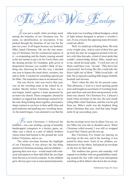

It was just a small, white envelope stuck among the branches of our Christmas tree. No name, no identification, no inscription. It has peeked through the branches of our tree for the past ten years. It all began because my husband, Mike, hated Christmas. Oh, not the true meaning of Christmas, but the commercial aspects of it—overspending and the frantic running around at the last minute to get a tie for Uncle Harry and the dusting powder for Grandma; gifts given in desperation because you couldn't think of anything else. Knowing he felt this way, I decided one year to bypass the usual shirts, sweaters, ties and so forth. I reached for something special just for Mike. The inspiration came in an unusual way.

Our son, Kevin, who was twelve that year, was on the wrestling team at the school he attended. Shortly before Christmas, there was a non-league match against a team sponsored by an inner-city church. These youngsters, dressed in sneakers so ragged that shoestrings seemed to be the only thing holding them together, presented a sharp contrast to our boys in their spiffy blue and gold uniforms and sparking new wrestling shoes. As the match began, I was alarmed to see that the

 $\mathscr{F}$  or each Christmas, I followed the tradition—one year sending a group of mentally handicapped youngsters to a hockey game, another year a check to a pair of elderly brothers whose home had burned to the ground the week before Christmas, and so on.

The white envelope became the highlight of our Christmas. It was always the last thing opened on Christmas morning, and our children ignoring their new toys—would stand with wideeyed anticipation as their dad lifted the envelope from the tree to reveal its contents. As the children grew, the toys gave way to more practical presents,

other team was wrestling without headgear, a kind of light helmet designed to protect a wrestler's ears. It was a luxury the opposing team obviously could not afford.

Well, we ended up walloping them. We took every weight class. And as each of their boys got up from the mat, he swaggered around in his tatters with false bravado, a kind of street pride that couldn't acknowledge defeat. Mike, seated next to me, shook his head sadly, *"I wish just one of them could have won,"* he said. *"They have lots of potential, but losing like this could take the heart right out of them."* Mike loved kids—all kids. He so enjoyed coaching little league football, baseball and lacrosse.

That's when the idea for his present came. That afternoon, I went to a local sporting goods store and bought an assortment of wrestling headgear and shoes and sent them anonymously to the inner-city church. On Christmas Eve, I placed a small white envelope on the tree, the note inside telling Mike what I had done, and this was his gift from me. Mike's smile was the brightest thing about Christmas that year. And that same bright smile lit up succeeding years.

but the envelope never lost its allure.You see, we lost Mike last year due to dreaded cancer. When Christmas rolled around, I was still so wrapped in grief that I barely got the tree up.

But Christmas Eve found me placing an envelope on the tree, and in the morning, it was joined by three more. Each of our children, unbeknownst to the others, had placed an envelope on the tree for their dad.

The tradition has grown and someday will expand even further with our grandchildren standing around the tree with wide-eyed anticipation watching as their fathers take down the envelope.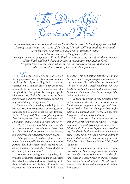The Divine Ohild Consoles and Heals

*Sr. Emmanuel from the community of the Beatitudes has lived in Medjugorje since 1990. During a pilgrimage, the words of Our Lady, "I need you!" captured her heart and never let it go. As a result, she left her homeland, France, to stand in the service of the Queen of Peace. Nearly every day she speaks to French, English or Italian pilgrims about the mysteries of our Faith and has helped countless people to turn trustingly to God. Her great love is Baby Jesus, which is why she named her house Bethlehem. She shares with us some of her valuable experiences.*

he majority of people who visit Medjugorje come with great concerns or wounds and hope for help or healing. It has been my experience that, in many cases, Baby Jesus very unexpectedly proves to be a wonderful counselor and physician. One priest, for example, openly admitted to me, *"Baby Jesus is really my least concern. As a university professor, I have more important things on my mind!"* 

However, after attending a talk I gave, he decided to try what I suggested. Something special happened to him about which he then testified. *"After I imagined Our Lady placing Baby Jesus in my arms, I was really embarrassed. I thought, 'What should I do with him now?'* 

*"I felt very uncomfortable, and I would have been happy to give him back. Nevertheless, I was suddenly overcome by a tenderness, the like of which I had never experienced.* 

*"The grace only lasted for a few seconds, but it changed my life. I am no longer the same person. The Baby Jesus made me meek and comprehensive; he melted my heart. And how drastically I needed that!"*

Another time, during one of my talks, I invited the listeners to imagine taking in their arms the Baby Jesus whom Mary was holding out to them. Valerie from the USA later told me what she experienced when she did that: *"To hold Jesus*  *as a baby was something entirely new to me because I had always imagined Jesus only as a grown man. Yet I did what Sr. Emmanuel told us to do and started speaking with this Child in my heart. He seemed to come alive; I even had the impression that I could feel the weight of his body.* 

*"It took my breath away, because I felt in that moment the absence of my own son. I had become pregnant at the age of sixteen; I gave birth to him and then gave him up for adoption. I married some years later, but then I was never able to have children.* 

*"So, there was a big hole in my life, an emptiness in my heart which caused it to bleed incessantly. I had given up my only son! I felt this pain like never before and started to cry. I had only held my son Peter twice in my arms—once when he was a baby and now it seemed that he had come to me again with Baby Jesus. I felt how the Divine Child filled the void!* 

*"In the meantime, I am now forty-nine years old, and I know the problems from which my son suffers because I was not a mother for him. After this experience of grace, I called him and told him all about it. He silently listened to me. At the end, he only said, 'Mom, I love you!'*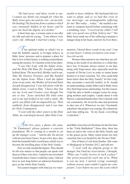*"He had never said these words to me. I cannot say thank you enough for what the Baby Jesus gave me and my son—an incredible healing! He freed me from a sadness which was constantly hidden in my heart, and he gave me back the dignity of a mother."*

A short time ago, a woman came to me after my talk and told me crying, *"I am almost sixty years old. Although I married young, I was* 

 $\ell$  his spiritual reality to which I try to lead the faithful, namely to livingly believe in Baby Jesus' presence and to prepare a place for him to live in their hearts, is nothing extraordinary among the mystics. St. Faustina wrote in her diary:

*"I saw Our Lady with the Infant Jesus, and the Holy Old Man [St. Joseph] standing behind them. The most holy Mother said to me, Take My Dearest Treasure, and She handed me the Infant Jesus. When I took the Infant Jesus in my arms, the Mother of God and Saint Joseph disappeared. I was left alone with the Infant Jesus. I said to Him, 'I know that You are my Lord and Creator even though You are so tiny.' Jesus stretched His little arms out to me and looked at me with a smile. My spirit was filled with incomparable joy. Then suddenly Jesus disappeared, and it was time for Holy Communion.* 

*"I went with the other sisters to the Holy Table, my soul deeply moved. After Holy Com-*

The five years, a phone call came, *"Sr. Emmanuel, please prepare a concrete foundation. We're coming in a month to set up the manger scene."* And he did. He arrived with ten men from France. In just a few days, they built the beautiful little wood house which was to become the dwelling place of the Holy Family.

Now we only needed the figures. They should be life-size statues so that people can speak with them as if they were alive. I asked in my newsletter if anybody knew where I could buy some. I did not have to wait long before an unknown benefactor gave us the whole Holy Family.

You cannot imagine with what joy we vener-

*unable to have children. My husband did not want to adopt, and so we had this cross in our marriage—an unimaginable suffering for me! But today… today,"* she needed a moment to compose herself before continuing with a trembling voice, *"I received my child! I will take very good care of him, believe me!"* The Baby Jesus made use of her suffering to prepare a manger deep in her heart, and now he lives there.

*munion, I heard these words in my soul: I am in your heart, I whom you had in your arms."* Diary 608 and 609

Women often entrust to me what they are suffering as the result of an abortion or a child they have lost. It became always clearer to me that, along with forgiveness, they especially need the warmth of Divine Love in order to return home healed or at least consoled. Yet, who could help them better than the Holy Family? In Our Lady, they encounter a merciful mother, in St. Joseph an understanding, tender father and in Baby Jesus they find forgiveness and healing. For this reason, I had the idea to build a manger scene for struggling mothers and couples. I spoke about it with Marcel, a talented handworker who is friends with our community. He loved the idea and promised to take care of it. Whenever we met, I hesitantly asked how the project was coming. He calmed me each time telling me, *"In my head, everything is finished."*

ated Baby Jesus here at Christmas for the first time in the "Little Bethlehem"! Since then, there has been no end to the visits to the Holy Family and to the graces given. Many return home not only consoled, but even healed by the Divine Child.

One of them is Lola from Quebec. She came to Medjugorje in October 2012, and told me:

*"I went with my pilgrim group to the manger, but I had my reservations. I thought, 'What can I really receive in such a place?' Our priest prayed for each one of us. When it was my turn, I started crying, seemingly without reason, and couldn't regain my composure. I saw before my eyes the scene which*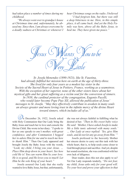*had taken place a number of times during my childhood.* 

*"We always went over to grandpa's house at Christmas time and, unfortunately, he abused me. Since then, I am always overcome by a deadly sadness at Christmas or whenever I*  *hear Christmas songs on the radio. I believed* 

*"I had forgiven him, but there was still a deep bitterness in me. Here, in this simple place, it all came back. And yet the Holy Family was here, above all the Baby Jesus, to heal me. They have given me peace."*



*Sr. Josefa Menendez (1890-1923), like St. Faustina, had already fulfilled her mission here on earth at the age of thirty-three. She lived for only four years as a modest lay sister in the Society of the Sacred Heart of Jesus in Poitiers, France, working as a seamstress.*  With the exception of her superior, none of the other sisters knew about her *mystical gifts and her great suffering as a victim soul for the conversion of sinners. In 1938, the cardinal protector of the congregation, Eugenio Pacelli, who would later become Pope Pius XII, allowed the publication of Jesus' messages to Sr. Josefa. "May they effectively contribute to awaken in many souls an always greater and more loving trust in the infinite mercy of the divine Heart toward sinners, which includes all of us."*

 $\mathbb{U}_{n}$  December 26, 1922, Josefa asked with Holy Communion that Our Lady bring the Baby Jesus and teach her to love and console the Divine Child. She wrote in her diary: *"I spoke to her as one speaks to one's mother, with great confidence, and after Communion I begged her to adore Him for me and to teach me how to thank Him."* Then Our Lady appeared and brought Josefa the Baby Jesus with the words, *"Look, my child, I bring you your Jesus. … Place Him deep down in your heart. See how cold He is! You can warm Him by your love. He is so good, and He loves you so much! Let Him be the sole King of your heart."*

Josefa assured Our Lady that she really wanted to love Baby Jesus, but that, unfortunately, she was not always faithful in fulfilling what he desired of her. *"Then in His sweet baby voice He said: 'Mother, I have asked Josefa to make Me a little tunic adorned with many souls.' … Our Lady at once replied: 'Yes, give Him* 

*souls, and do not let any go away from Him.'"*

Josefa professed to the heavenly Mother her sincere desire to carry out this task with her whole heart, that is, to help souls come closer to God through prayer and sacrifice. And yet, despite her sound resolution, she was confronted with her own lack of diligence.

Dear reader, does this not also apply to us? Yet Our Lady responds tenderly, *"Do not fear, my child, Jesus asks only for your good will. Try your best and prove your affection in that*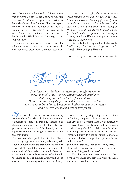*way. Do you know how to do it? Jesus wants you to be very little . . . quite tiny, so tiny that you may be able to creep in here."* With her hand she showed Josefa the small, narrow space between her heart and the Baby Jesus who was leaning on her. *"How happy you would be in there,"* Our Lady continued. Jesus encouraged her by waving His little arms, *"Just try, … and you will see!"*

Once again, Josefa asked for forgiveness for all her resistance, of which she became so deeply aware before so great a love. Our Lady responded,

*"Yes, you are right, there are moments when you are ungrateful. Do you know why? It is because you are thinking of yourself more than of Him. Do not consider whether a thing costs you or not, prove your love by doing all He asks of you. If He tells you to speak, speak. If to be silent, then keep silence. If He tells you to love, then love. What does anything matter, if He takes care of you?"*

Our Lady finally departed with the words, *"Adieu, my child, do not forget the tunic. Comfort Him and give Him souls!"*

Source: The Way of Divine Love by Sr. Josefa Menendez

*Tieces of* 

*Jesus' lesson to the Spanish victim soul Josefa Menendez pertains to all of us. It is presented with such simplicity that it may seem too childish for us adults. Yet it contains a very deep truth which is not as easy to live as it seems at first glance. Sometimes children understand it better and can even become models of love for us.* 

hat was the case for us last year during Advent. One of our sisters in Rome was teaching catechism to some children and explained to them that, in preparation for Christmas, they can prepare a warm place for Baby Jesus by placing a piece of straw in the manger for every sacrifice that they make.

Five-year-old Maria paid close attention. She is very lucky to grow up in a family where they talk openly about the faith and pray with one another. Lisa and Michael take time each evening with their children Maria and seven-year-old Francesco to pray the Rosary before a statue of Our Lady in the living room. The children usually fall asleep around the third mystery. At the end of the Rosary, however, when they bring their personal petitions to Our Lady, they are wide awake again.

The day after catechism, Maria was noticeably attentive during the Rosary, and her parents wondered why she did not fall asleep this time. After the prayer, she shed light on her "secret". Exhausted, but with a radiant smile, Maria told her mom, "Today, I can put three pieces of straw in the manger."

Somewhat surprised, Lisa asked, "Why three?" "I prayed the whole Rosary, I prayed it on my knees and I forgave Francesco."

Yes, the little ones often understand better than we adults how they can "keep the Lord warm" and show him their love.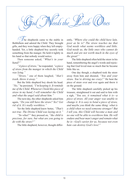$\mathbb Z$  he shepherds came to the stable in Bethlehem and adored the Child. They brought gifts, and they were happy when they left emptyhanded. Yet, a little shepherd boy secretly took something from the manger. He held it tightly in his hand so that nobody would notice.

 $\vec{l}$ eeds the

Then someone asked, *"What's in your hand?"*

*"A piece of straw,"* he responded, *"a piece of straw from the manger in which the Child was lying."*

*"Straw,"* one of them laughed, *"that's trash, throw it away."*

But the little shepherd boy shook his head. *"No,"* he persisted, *"I'm keeping it. It reminds me of the Child. Whenever I hold this piece of straw in my hand, I will remember the Child and what the angel said about him."* 

The next day, the other shepherds asked him again, *"Do you still have the straw? Yes? Get rid of it. It's really worthless."*

Yet the little shepherd knew better, *"That's not true. The Divine Child was laying on it."* 

*"So what?"* they pressed on, *"the child is precious, for sure, but what are you going to do with the straw?"*

The little shepherd, however, thought differ-

ently, *"Where else could the child have lain, poor as he is? The straw teaches me that God needs what seems worthless and little. God needs us, the little ones who cannot do much and are not worth much in the eyes of the great!"* 

The little shepherd often held the straw in his hand, remembering the angel's words and rejoicing that God loved man so much that he became little like us.

One day though, a shepherd took the straw away from him and shouted, *"You and your straw. You're driving me crazy!"* He bent the piece of straw over and over again and threw it on the ground.

The little shepherd carefully picked up his treasure, straightened it out and said to him with a sigh, *"You see, it remained what it is—a piece of straw. All your anger was unable to change it. It is easy to bend a piece of straw, and maybe you think the same thing: what is a child when we need someone stronger? But I tell you, this Child will become a man and no one will be able to overthrow him. He will endure and bear man's anger and remain what he is—God's savior for us, because not even hate can destroy God's love!"*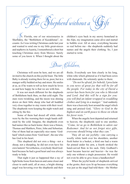$\delta$ hepherd without a

 $\mathbb{S}$ r. Florida, one of our missionaries in Sherbakty, the "Bethlehem of Kazakhstan", recounts: As I was writing Christmas cards last year and wanted to send one to my little great-nieces and nephews in Austria, I remembered a short but touching Christmas story from Mexico. Surely some of you know it. When I thought about the

children's eyes back in my snowy homeland in the Alps, my imagination came alive and started to bubble over. All at once, everything became so real before me—the shepherds suddenly had names and the angels their clothing. So, I just started to write.



Christmas will soon be here, and we are all invited to the church on this joyful feast. The little Baby is already waiting there for us, poor, but in a manger softly bedded on hay and straw. He smiles at us, as if he wants to tell us how much he loves us and how happy he is that we are with him.

It was not much different for the shepherds of Bethlehem back then, on that cold night. The stars were twinkling, and the moon was shining down on their little sheep who had all huddled very close together to stay warm with their wool. The shepherds were keeping the night watch and sitting by the fire.

Some of them had dozed off while others were by the fire warming their rough hands stiffened by the cold. Imagine, the shepherds even had names like us back home: there was a Simon, Thomas and Matthew, Peter, John and Sebastian. One of them had an especially nice name 'Godhard' which comes from 'God-heart', the one who has God in his heart.

This shepherd did not own a thing—not a sheep, not a sheepdog, he did not even have his own lantern! Nevertheless, everybody liked Godhard because he had a good heart and was always ready to help.

That night it just so happened that a ray of light broke loose from heaven and came closer and closer to earth until, all at once, a bright shining angel was hovering over the shepherds and their flocks. Everybody saw him clearly in his long, white robe which glittered as if it had been sown with diamonds. He solemnly spoke to them:

*"Do not be afraid; for behold, I proclaim to you news of great joy that will be for all the people. For today in the city of David a savior has been born for you who is Messiah and Lord. And this will be a sign for you: you will find an infant wrapped in swaddling clothes and lying in a manger."* And suddenly there was a heavenly host around the angel which sang and praised God, *"Glory to God in the highest and on earth peace to those on whom his favor rests."* 

When the angelic host departed and returned to heaven, the shepherds said to one another, *"Come, let us go to Bethlehem to adore our Redeemer. And let us not forget nice gifts, everyone should bring what they can."* 

They all set out joyfully—one carrying a woolly white lamb over his shoulders, another fresh butter in a basket, a third one had a warm fur pinned under his arm, a fourth stroked the hand-carved flute in his sack. Only Godhard's heart became heavier and heavier—he was the only one without a single possession. He would not even be able to give Jesus a handkerchief!

When the joyful horde of shepherds arrived at the grotto, their eyes lit up because everything was just as the angel had told them—the Mother